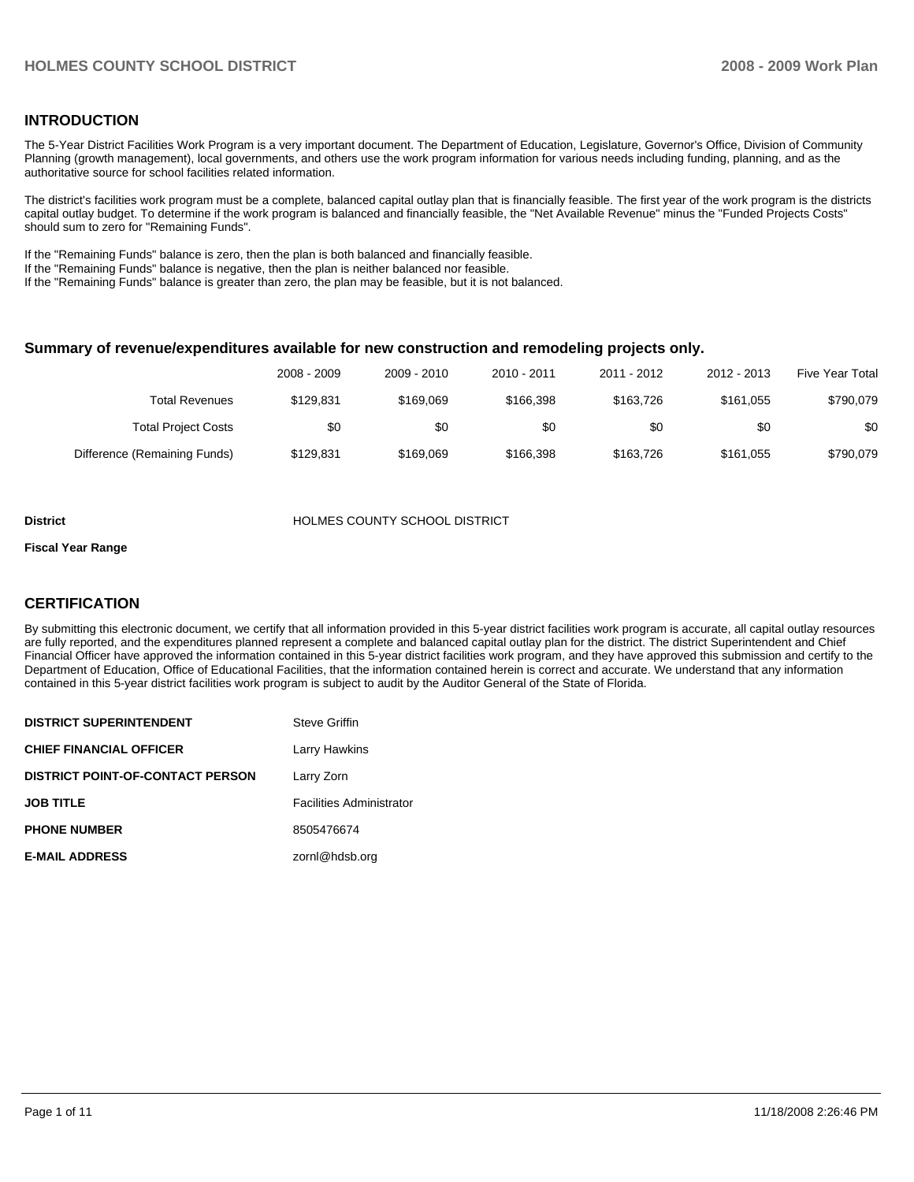#### **INTRODUCTION**

The 5-Year District Facilities Work Program is a very important document. The Department of Education, Legislature, Governor's Office, Division of Community Planning (growth management), local governments, and others use the work program information for various needs including funding, planning, and as the authoritative source for school facilities related information.

The district's facilities work program must be a complete, balanced capital outlay plan that is financially feasible. The first year of the work program is the districts capital outlay budget. To determine if the work program is balanced and financially feasible, the "Net Available Revenue" minus the "Funded Projects Costs" should sum to zero for "Remaining Funds".

If the "Remaining Funds" balance is zero, then the plan is both balanced and financially feasible.

If the "Remaining Funds" balance is negative, then the plan is neither balanced nor feasible.

If the "Remaining Funds" balance is greater than zero, the plan may be feasible, but it is not balanced.

#### **Summary of revenue/expenditures available for new construction and remodeling projects only.**

| <b>Five Year Total</b> | 2012 - 2013 | 2011 - 2012 | 2010 - 2011 | 2009 - 2010 | 2008 - 2009 |                              |
|------------------------|-------------|-------------|-------------|-------------|-------------|------------------------------|
| \$790.079              | \$161.055   | \$163.726   | \$166.398   | \$169.069   | \$129.831   | <b>Total Revenues</b>        |
| \$0                    | \$0         | \$0         | \$0         | \$0         | \$0         | <b>Total Project Costs</b>   |
| \$790,079              | \$161,055   | \$163.726   | \$166.398   | \$169.069   | \$129.831   | Difference (Remaining Funds) |

#### **District** HOLMES COUNTY SCHOOL DISTRICT

#### **Fiscal Year Range**

#### **CERTIFICATION**

By submitting this electronic document, we certify that all information provided in this 5-year district facilities work program is accurate, all capital outlay resources are fully reported, and the expenditures planned represent a complete and balanced capital outlay plan for the district. The district Superintendent and Chief Financial Officer have approved the information contained in this 5-year district facilities work program, and they have approved this submission and certify to the Department of Education, Office of Educational Facilities, that the information contained herein is correct and accurate. We understand that any information contained in this 5-year district facilities work program is subject to audit by the Auditor General of the State of Florida.

| <b>DISTRICT SUPERINTENDENT</b>          | Steve Griffin                   |
|-----------------------------------------|---------------------------------|
| <b>CHIEF FINANCIAL OFFICER</b>          | Larry Hawkins                   |
| <b>DISTRICT POINT-OF-CONTACT PERSON</b> | Larry Zorn                      |
| <b>JOB TITLE</b>                        | <b>Facilities Administrator</b> |
| <b>PHONE NUMBER</b>                     | 8505476674                      |
| <b>E-MAIL ADDRESS</b>                   | zornl@hdsb.org                  |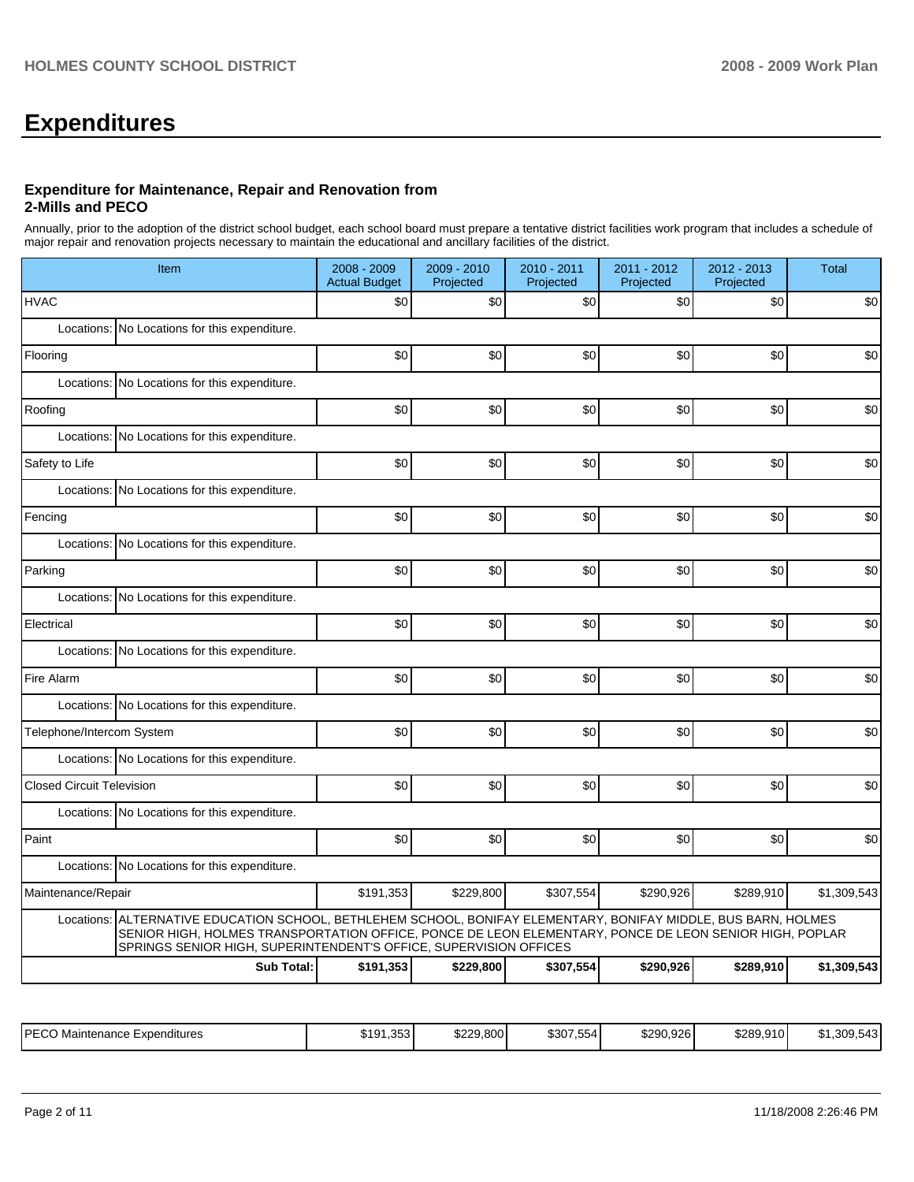# **Expenditures**

#### **Expenditure for Maintenance, Repair and Renovation from 2-Mills and PECO**

Annually, prior to the adoption of the district school budget, each school board must prepare a tentative district facilities work program that includes a schedule of major repair and renovation projects necessary to maintain the educational and ancillary facilities of the district.

| Item                                                                                                                                                                                                                                                                                              | 2008 - 2009<br><b>Actual Budget</b> | 2009 - 2010<br>Projected | 2010 - 2011<br>Projected | 2011 - 2012<br>Projected | 2012 - 2013<br>Projected | <b>Total</b> |  |  |  |
|---------------------------------------------------------------------------------------------------------------------------------------------------------------------------------------------------------------------------------------------------------------------------------------------------|-------------------------------------|--------------------------|--------------------------|--------------------------|--------------------------|--------------|--|--|--|
| <b>HVAC</b>                                                                                                                                                                                                                                                                                       | \$0                                 | \$0                      | \$0                      | \$0                      | \$0                      | \$0          |  |  |  |
| Locations: No Locations for this expenditure.                                                                                                                                                                                                                                                     |                                     |                          |                          |                          |                          |              |  |  |  |
| Flooring                                                                                                                                                                                                                                                                                          | \$0                                 | \$0                      | \$0                      | \$0                      | \$0                      | \$0          |  |  |  |
| Locations: No Locations for this expenditure.                                                                                                                                                                                                                                                     |                                     |                          |                          |                          |                          |              |  |  |  |
| Roofing                                                                                                                                                                                                                                                                                           | \$0                                 | \$0                      | \$0                      | \$0                      | \$0                      | \$0          |  |  |  |
| Locations:<br>No Locations for this expenditure.                                                                                                                                                                                                                                                  |                                     |                          |                          |                          |                          |              |  |  |  |
| Safety to Life                                                                                                                                                                                                                                                                                    | \$0                                 | \$0                      | \$0                      | \$0                      | \$0                      | \$0          |  |  |  |
| Locations: No Locations for this expenditure.                                                                                                                                                                                                                                                     |                                     |                          |                          |                          |                          |              |  |  |  |
| Fencing                                                                                                                                                                                                                                                                                           | \$0                                 | \$0                      | \$0                      | \$0                      | \$0                      | \$0          |  |  |  |
| Locations: No Locations for this expenditure.                                                                                                                                                                                                                                                     |                                     |                          |                          |                          |                          |              |  |  |  |
| Parking                                                                                                                                                                                                                                                                                           | \$0                                 | \$0                      | \$0                      | \$0                      | \$0                      | \$0          |  |  |  |
| Locations: No Locations for this expenditure.                                                                                                                                                                                                                                                     |                                     |                          |                          |                          |                          |              |  |  |  |
| Electrical                                                                                                                                                                                                                                                                                        | \$0                                 | \$0                      | \$0                      | \$0                      | \$0                      | \$0          |  |  |  |
| No Locations for this expenditure.<br>Locations:                                                                                                                                                                                                                                                  |                                     |                          |                          |                          |                          |              |  |  |  |
| Fire Alarm                                                                                                                                                                                                                                                                                        | \$0                                 | \$0                      | \$0                      | \$0                      | \$0                      | \$0          |  |  |  |
| Locations: No Locations for this expenditure.                                                                                                                                                                                                                                                     |                                     |                          |                          |                          |                          |              |  |  |  |
| Telephone/Intercom System                                                                                                                                                                                                                                                                         | \$0                                 | \$0                      | \$0                      | \$0                      | \$0                      | \$0          |  |  |  |
| Locations: No Locations for this expenditure.                                                                                                                                                                                                                                                     |                                     |                          |                          |                          |                          |              |  |  |  |
| <b>Closed Circuit Television</b>                                                                                                                                                                                                                                                                  | \$0                                 | \$0                      | \$0                      | \$0                      | \$0                      | \$0          |  |  |  |
| Locations: No Locations for this expenditure.                                                                                                                                                                                                                                                     |                                     |                          |                          |                          |                          |              |  |  |  |
| Paint                                                                                                                                                                                                                                                                                             | \$0                                 | \$0                      | \$0                      | \$0                      | \$0                      | \$0          |  |  |  |
| No Locations for this expenditure.<br>Locations:                                                                                                                                                                                                                                                  |                                     |                          |                          |                          |                          |              |  |  |  |
| Maintenance/Repair                                                                                                                                                                                                                                                                                | \$191,353                           | \$229,800                | \$307,554                | \$290,926                | \$289,910                | \$1,309,543  |  |  |  |
| ALTERNATIVE EDUCATION SCHOOL, BETHLEHEM SCHOOL, BONIFAY ELEMENTARY, BONIFAY MIDDLE, BUS BARN, HOLMES<br>Locations:<br>SENIOR HIGH, HOLMES TRANSPORTATION OFFICE, PONCE DE LEON ELEMENTARY, PONCE DE LEON SENIOR HIGH, POPLAR<br>SPRINGS SENIOR HIGH, SUPERINTENDENT'S OFFICE, SUPERVISION OFFICES |                                     |                          |                          |                          |                          |              |  |  |  |
| <b>Sub Total:</b>                                                                                                                                                                                                                                                                                 | \$191,353                           | \$229,800                | \$307,554                | \$290,926                | \$289,910                | \$1,309,543  |  |  |  |

| I PECO<br>Maintenance<br>Expenditures<br>∟ບບ | $\sim$<br>ፍ 1 Q<br>.3531<br>$\overline{\phantom{a}}$ | \$229.800<br>u suu | ---<br>\$307<br>. 554 ' | \$290.926 | \$289.910 | .309.543<br>$\sim$<br>.5 <sub>1</sub> |
|----------------------------------------------|------------------------------------------------------|--------------------|-------------------------|-----------|-----------|---------------------------------------|
|                                              |                                                      |                    |                         |           |           |                                       |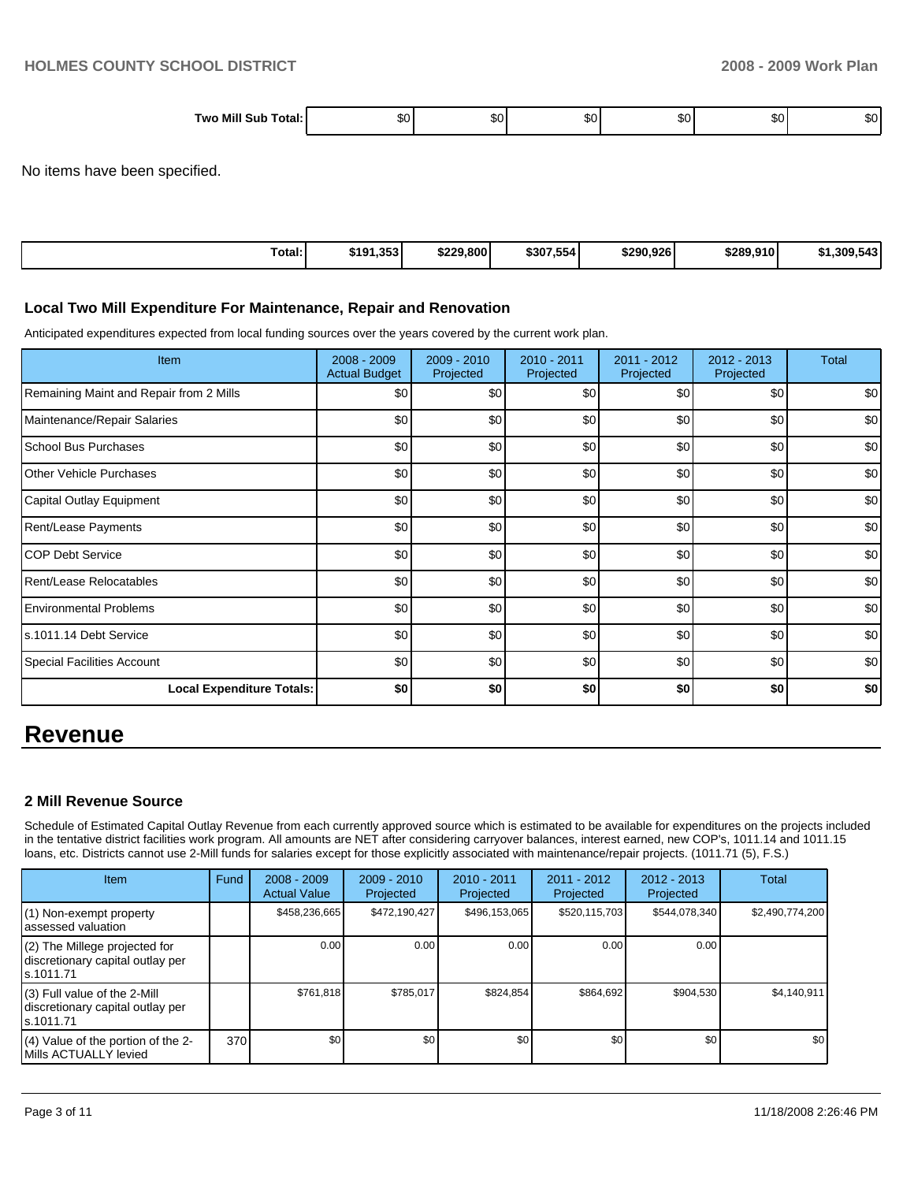| Two Milı<br>sur<br>∴ ⊺∩tal | . .<br>.51 | ות. | .51 | .<br>- DU | .nu | .nı |
|----------------------------|------------|-----|-----|-----------|-----|-----|

No items have been specified.

| Total: | \$191,353 | \$229,800 | \$307,554 | \$290.926 | \$289,910 | <b>F</b> 40 <b>I</b><br>.309.543 |
|--------|-----------|-----------|-----------|-----------|-----------|----------------------------------|

#### **Local Two Mill Expenditure For Maintenance, Repair and Renovation**

Anticipated expenditures expected from local funding sources over the years covered by the current work plan.

| Item                                    | 2008 - 2009<br><b>Actual Budget</b> | $2009 - 2010$<br>Projected | $2010 - 2011$<br>Projected | 2011 - 2012<br>Projected | $2012 - 2013$<br>Projected | <b>Total</b> |
|-----------------------------------------|-------------------------------------|----------------------------|----------------------------|--------------------------|----------------------------|--------------|
| Remaining Maint and Repair from 2 Mills | \$0                                 | \$0                        | \$0                        | \$0                      | \$0                        | \$0          |
| Maintenance/Repair Salaries             | \$0                                 | \$0                        | \$0                        | \$0                      | \$0                        | \$0          |
| <b>School Bus Purchases</b>             | \$0                                 | \$0                        | \$0                        | \$0                      | \$0                        | \$0          |
| <b>Other Vehicle Purchases</b>          | \$0                                 | \$0                        | \$0                        | \$0                      | \$0                        | \$0          |
| Capital Outlay Equipment                | \$0                                 | \$0                        | \$0                        | \$0                      | \$0                        | \$0          |
| <b>Rent/Lease Payments</b>              | \$0                                 | \$0                        | \$0                        | \$0                      | \$0                        | \$0          |
| <b>COP Debt Service</b>                 | \$0                                 | \$0                        | \$0                        | \$0                      | \$0                        | \$0          |
| <b>Rent/Lease Relocatables</b>          | \$0                                 | \$0                        | \$0                        | \$0                      | \$0                        | \$0          |
| <b>Environmental Problems</b>           | \$0                                 | \$0                        | \$0                        | \$0                      | \$0                        | \$0          |
| ls.1011.14 Debt Service                 | \$0                                 | \$0                        | \$0                        | \$0                      | \$0                        | \$0          |
| Special Facilities Account              | \$0                                 | \$0                        | \$0                        | \$0                      | \$0                        | \$0          |
| <b>Local Expenditure Totals:</b>        | \$0                                 | \$0                        | \$0                        | \$0                      | \$0                        | \$0          |

# **Revenue**

#### **2 Mill Revenue Source**

Schedule of Estimated Capital Outlay Revenue from each currently approved source which is estimated to be available for expenditures on the projects included in the tentative district facilities work program. All amounts are NET after considering carryover balances, interest earned, new COP's, 1011.14 and 1011.15 loans, etc. Districts cannot use 2-Mill funds for salaries except for those explicitly associated with maintenance/repair projects. (1011.71 (5), F.S.)

| <b>Item</b>                                                                     | Fund | $2008 - 2009$<br><b>Actual Value</b> | $2009 - 2010$<br>Projected | $2010 - 2011$<br>Projected | $2011 - 2012$<br>Projected | $2012 - 2013$<br>Projected | <b>Total</b>    |
|---------------------------------------------------------------------------------|------|--------------------------------------|----------------------------|----------------------------|----------------------------|----------------------------|-----------------|
| (1) Non-exempt property<br>lassessed valuation                                  |      | \$458,236,665                        | \$472.190.427              | \$496,153,065              | \$520,115,703              | \$544,078,340              | \$2,490,774,200 |
| (2) The Millege projected for<br>discretionary capital outlay per<br>ls.1011.71 |      | 0.00                                 | 0.00                       | 0.00                       | 0.00                       | 0.00                       |                 |
| (3) Full value of the 2-Mill<br>discretionary capital outlay per<br>ls.1011.71  |      | \$761,818                            | \$785,017                  | \$824.854                  | \$864,692                  | \$904,530                  | \$4,140,911     |
| (4) Value of the portion of the 2-<br>Mills ACTUALLY levied                     | 370  | \$0 <sub>1</sub>                     | \$0                        | \$0                        | \$0                        | \$0                        | \$0             |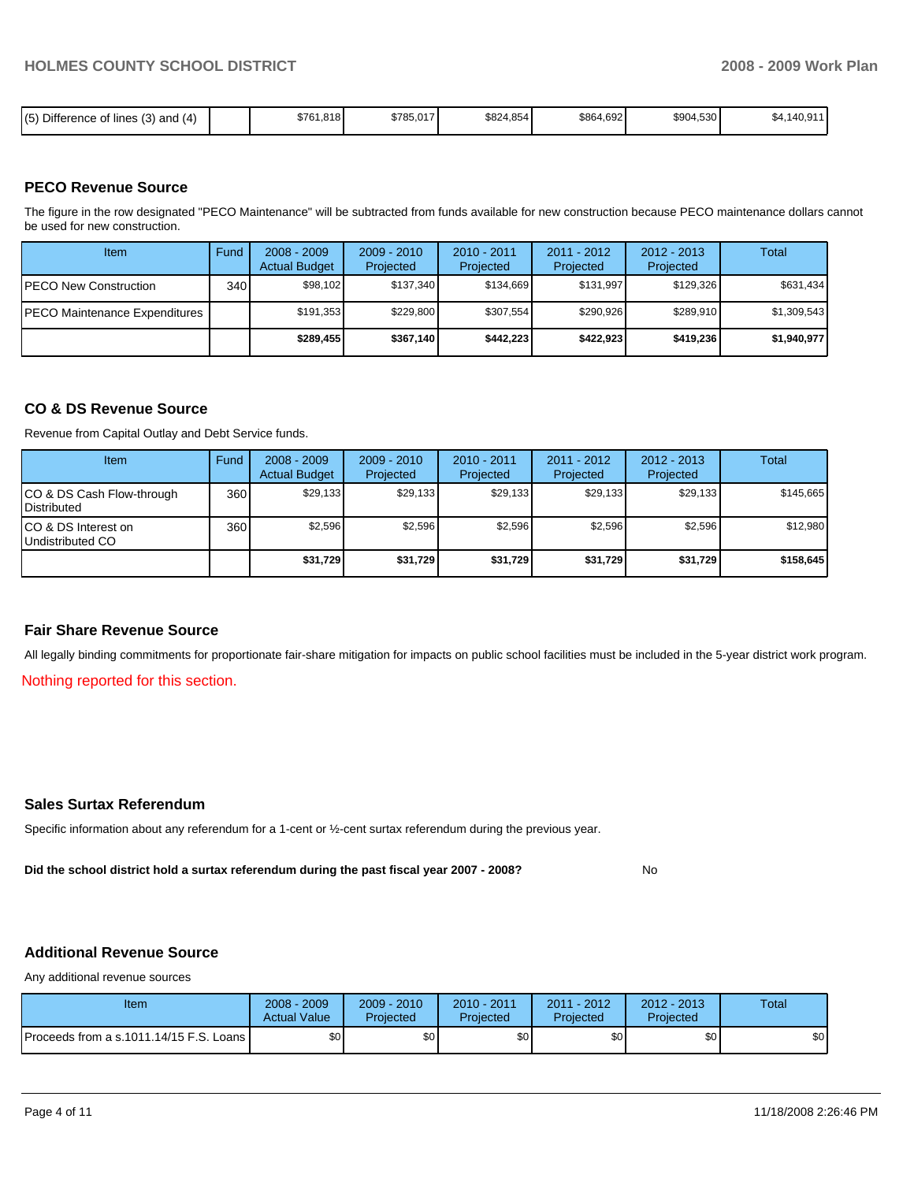| Difference of lines (3)<br>(E)<br>, and $(4)$ |  | \$761.818 | \$785,017 | \$824,854 | \$864,692 | \$904,530 | 140.91'<br>. ა4. .<br>' →∪,ອ |
|-----------------------------------------------|--|-----------|-----------|-----------|-----------|-----------|------------------------------|
|-----------------------------------------------|--|-----------|-----------|-----------|-----------|-----------|------------------------------|

#### **PECO Revenue Source**

The figure in the row designated "PECO Maintenance" will be subtracted from funds available for new construction because PECO maintenance dollars cannot be used for new construction.

| Item                                  | Fund | $2008 - 2009$<br><b>Actual Budget</b> | $2009 - 2010$<br>Projected | $2010 - 2011$<br>Projected | $2011 - 2012$<br>Projected | $2012 - 2013$<br>Projected | Total       |
|---------------------------------------|------|---------------------------------------|----------------------------|----------------------------|----------------------------|----------------------------|-------------|
| <b>IPECO New Construction</b>         | 340  | \$98,102                              | \$137,340                  | \$134.669                  | \$131.997                  | \$129.326                  | \$631,434   |
| <b>IPECO Maintenance Expenditures</b> |      | \$191,353                             | \$229,800                  | \$307.554                  | \$290.926                  | \$289,910                  | \$1,309,543 |
|                                       |      | \$289,455                             | \$367,140                  | \$442.223                  | \$422.923                  | \$419,236                  | \$1,940,977 |

#### **CO & DS Revenue Source**

Revenue from Capital Outlay and Debt Service funds.

| Item                                               | Fund | $2008 - 2009$<br><b>Actual Budget</b> | $2009 - 2010$<br>Projected | $2010 - 2011$<br>Projected | $2011 - 2012$<br>Projected | $2012 - 2013$<br>Projected | Total     |
|----------------------------------------------------|------|---------------------------------------|----------------------------|----------------------------|----------------------------|----------------------------|-----------|
| ICO & DS Cash Flow-through<br><b>I</b> Distributed | 360  | \$29.133                              | \$29.133                   | \$29.133                   | \$29,133                   | \$29,133                   | \$145.665 |
| ICO & DS Interest on<br>Undistributed CO           | 360  | \$2,596                               | \$2,596                    | \$2,596                    | \$2,596                    | \$2,596                    | \$12,980  |
|                                                    |      | \$31,729                              | \$31,729                   | \$31,729                   | \$31,729                   | \$31,729                   | \$158,645 |

#### **Fair Share Revenue Source**

All legally binding commitments for proportionate fair-share mitigation for impacts on public school facilities must be included in the 5-year district work program.

Nothing reported for this section.

#### **Sales Surtax Referendum**

Specific information about any referendum for a 1-cent or ½-cent surtax referendum during the previous year.

**Did the school district hold a surtax referendum during the past fiscal year 2007 - 2008?** No

### **Additional Revenue Source**

Any additional revenue sources

| Item                                      | 2008 - 2009<br><b>Actual Value</b> | $2009 - 2010$<br>Projected | 2010 - 2011<br>Projected | 2011 - 2012<br>Projected | $2012 - 2013$<br>Projected | Total |
|-------------------------------------------|------------------------------------|----------------------------|--------------------------|--------------------------|----------------------------|-------|
| Proceeds from a s.1011.14/15 F.S. Loans I | ¢∩<br>υU                           | ¢Λ<br>υU                   | \$0                      | \$0                      | \$0                        | \$0   |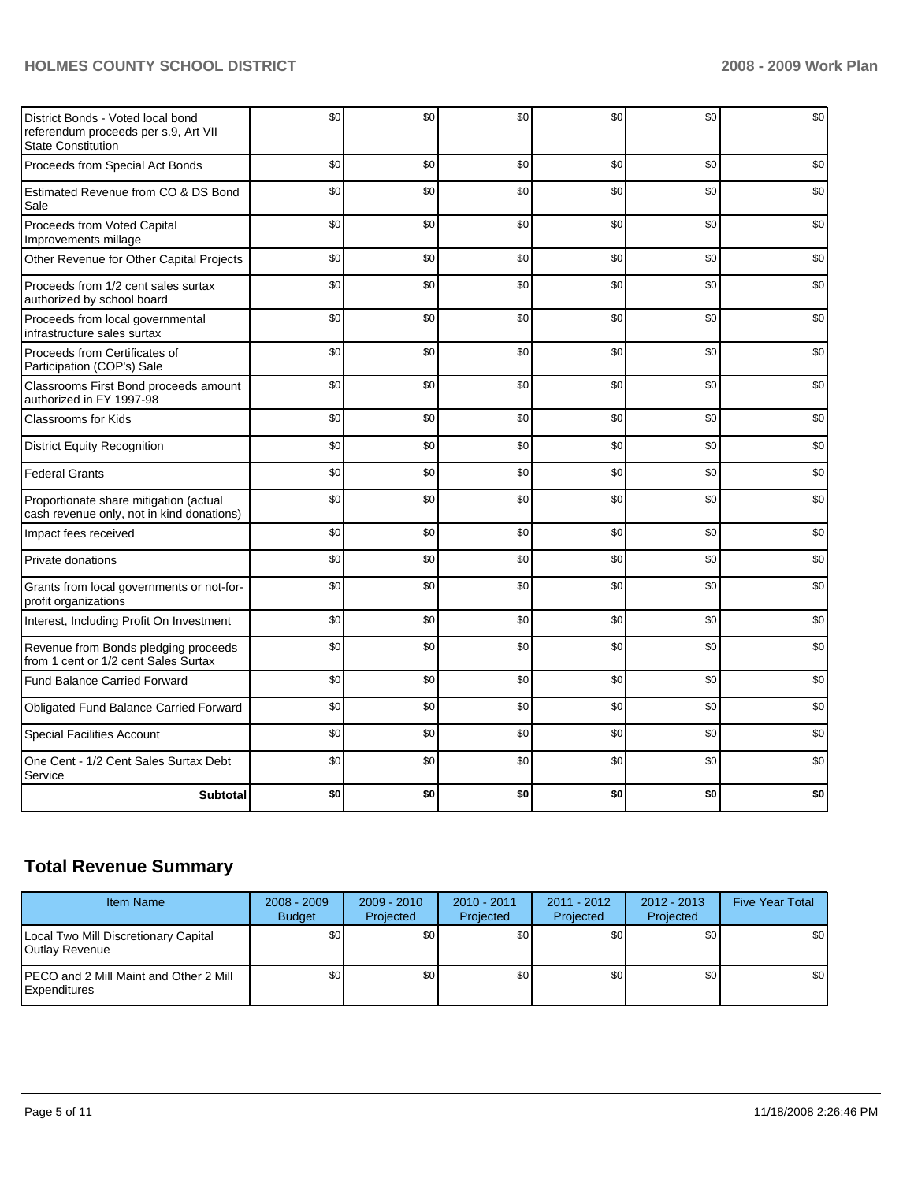## **HOLMES COUNTY SCHOOL DISTRICT 2008 - 2009 Work Plan**

| District Bonds - Voted local bond<br>referendum proceeds per s.9, Art VII<br><b>State Constitution</b> | \$0 | \$0 | \$0 | \$0 | \$0 | \$0 |
|--------------------------------------------------------------------------------------------------------|-----|-----|-----|-----|-----|-----|
| Proceeds from Special Act Bonds                                                                        | \$0 | \$0 | \$0 | \$0 | \$0 | \$0 |
| Estimated Revenue from CO & DS Bond<br>Sale                                                            | \$0 | \$0 | \$0 | \$0 | \$0 | \$0 |
| Proceeds from Voted Capital<br>Improvements millage                                                    | \$0 | \$0 | \$0 | \$0 | \$0 | \$0 |
| Other Revenue for Other Capital Projects                                                               | \$0 | \$0 | \$0 | \$0 | \$0 | \$0 |
| Proceeds from 1/2 cent sales surtax<br>authorized by school board                                      | \$0 | \$0 | \$0 | \$0 | \$0 | \$0 |
| Proceeds from local governmental<br>infrastructure sales surtax                                        | \$0 | \$0 | \$0 | \$0 | \$0 | \$0 |
| Proceeds from Certificates of<br>Participation (COP's) Sale                                            | \$0 | \$0 | \$0 | \$0 | \$0 | \$0 |
| Classrooms First Bond proceeds amount<br>authorized in FY 1997-98                                      | \$0 | \$0 | \$0 | \$0 | \$0 | \$0 |
| Classrooms for Kids                                                                                    | \$0 | \$0 | \$0 | \$0 | \$0 | \$0 |
| <b>District Equity Recognition</b>                                                                     | \$0 | \$0 | \$0 | \$0 | \$0 | \$0 |
| <b>Federal Grants</b>                                                                                  | \$0 | \$0 | \$0 | \$0 | \$0 | \$0 |
| Proportionate share mitigation (actual<br>cash revenue only, not in kind donations)                    | \$0 | \$0 | \$0 | \$0 | \$0 | \$0 |
| Impact fees received                                                                                   | \$0 | \$0 | \$0 | \$0 | \$0 | \$0 |
| Private donations                                                                                      | \$0 | \$0 | \$0 | \$0 | \$0 | \$0 |
| Grants from local governments or not-for-<br>profit organizations                                      | \$0 | \$0 | \$0 | \$0 | \$0 | \$0 |
| Interest, Including Profit On Investment                                                               | \$0 | \$0 | \$0 | \$0 | \$0 | \$0 |
| Revenue from Bonds pledging proceeds<br>from 1 cent or 1/2 cent Sales Surtax                           | \$0 | \$0 | \$0 | \$0 | \$0 | \$0 |
| <b>Fund Balance Carried Forward</b>                                                                    | \$0 | \$0 | \$0 | \$0 | \$0 | \$0 |
| Obligated Fund Balance Carried Forward                                                                 | \$0 | \$0 | \$0 | \$0 | \$0 | \$0 |
| <b>Special Facilities Account</b>                                                                      | \$0 | \$0 | \$0 | \$0 | \$0 | \$0 |
| One Cent - 1/2 Cent Sales Surtax Debt<br>Service                                                       | \$0 | \$0 | \$0 | \$0 | \$0 | \$0 |
| <b>Subtotal</b>                                                                                        | \$0 | \$0 | \$0 | \$0 | \$0 | \$0 |

# **Total Revenue Summary**

| <b>Item Name</b>                                               | $2008 - 2009$<br><b>Budget</b> | $2009 - 2010$<br>Projected | $2010 - 2011$<br>Projected | $2011 - 2012$<br>Projected | $2012 - 2013$<br>Projected | <b>Five Year Total</b> |
|----------------------------------------------------------------|--------------------------------|----------------------------|----------------------------|----------------------------|----------------------------|------------------------|
| Local Two Mill Discretionary Capital<br><b>IOutlav Revenue</b> | \$0                            | \$٥Ι                       | \$0                        | \$0 <sub>1</sub>           | \$0                        | \$0                    |
| <b>IPECO and 2 Mill Maint and Other 2 Mill</b><br>Expenditures | \$0                            | \$٥Ι                       | \$0                        | \$0                        | \$0                        | \$0                    |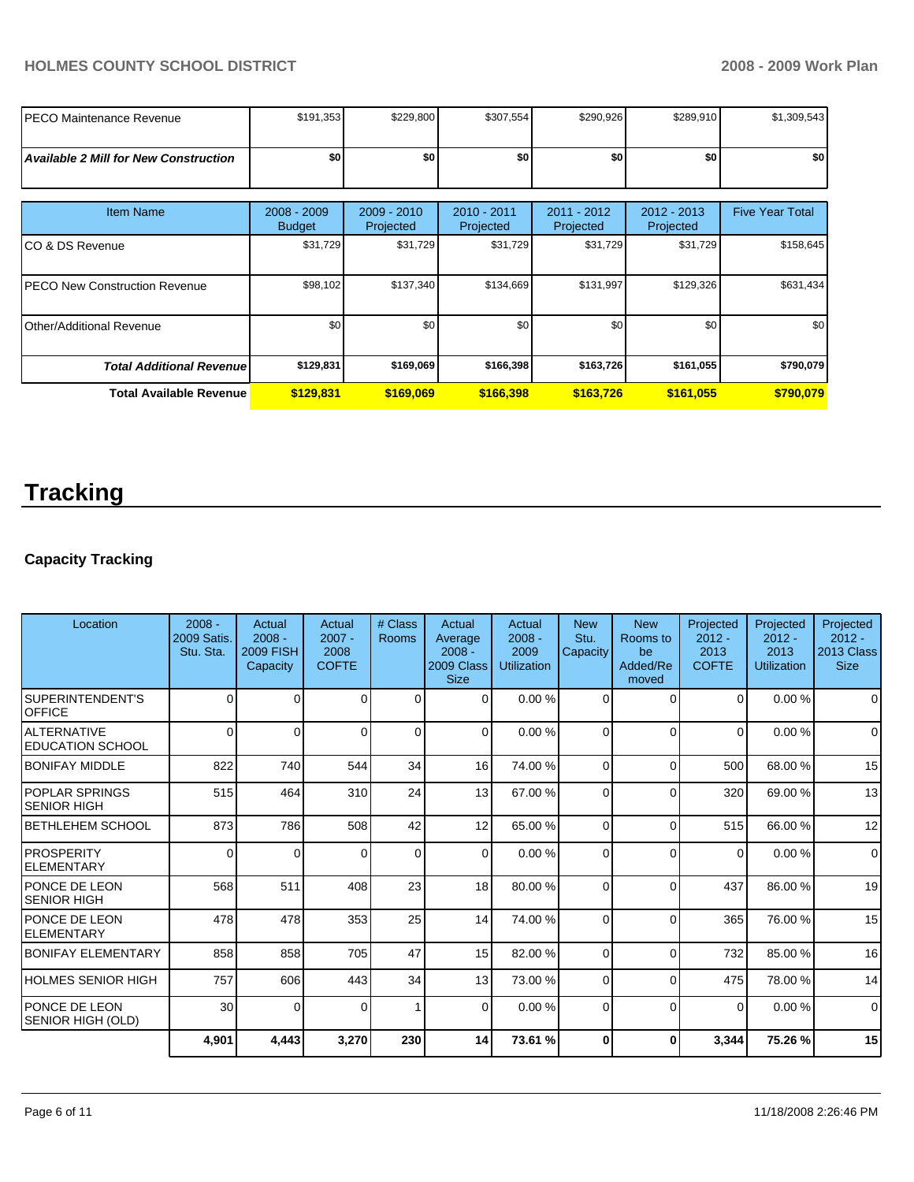### **HOLMES COUNTY SCHOOL DISTRICT 2008 - 2009 Work Plan**

| IPECO Maintenance Revenue                    | \$191,353                    | \$229,800                | \$307,554                | \$290,926                | \$289,910                  | \$1,309,543            |
|----------------------------------------------|------------------------------|--------------------------|--------------------------|--------------------------|----------------------------|------------------------|
| <b>Available 2 Mill for New Construction</b> | \$0                          | \$0                      | \$0                      | \$0                      | \$0                        | \$0                    |
| <b>Item Name</b>                             | 2008 - 2009<br><b>Budget</b> | 2009 - 2010<br>Projected | 2010 - 2011<br>Projected | 2011 - 2012<br>Projected | $2012 - 2013$<br>Projected | <b>Five Year Total</b> |
| ICO & DS Revenue                             | \$31,729                     | \$31,729                 | \$31,729                 | \$31,729                 | \$31,729                   | \$158,645              |
| <b>IPECO New Construction Revenue</b>        | \$98,102                     | \$137,340                | \$134,669                | \$131,997                | \$129,326                  | \$631,434              |
| Other/Additional Revenue                     | \$0                          | \$0                      | \$0                      | \$0                      | \$0                        | \$0                    |
| <b>Total Additional Revenue</b>              | \$129,831                    | \$169,069                | \$166,398                | \$163,726                | \$161,055                  | \$790,079              |
| <b>Total Available Revenue</b>               | \$129,831                    | \$169,069                | \$166,398                | \$163,726                | \$161,055                  | \$790,079              |

# **Tracking**

# **Capacity Tracking**

| Location                                     | $2008 -$<br>2009 Satis.<br>Stu. Sta. | Actual<br>$2008 -$<br><b>2009 FISH</b><br>Capacity | Actual<br>$2007 -$<br>2008<br><b>COFTE</b> | # Class<br>Rooms | Actual<br>Average<br>$2008 -$<br>2009 Class<br><b>Size</b> | Actual<br>$2008 -$<br>2009<br><b>Utilization</b> | <b>New</b><br>Stu.<br>Capacity | <b>New</b><br>Rooms to<br>be<br>Added/Re<br>moved | Projected<br>$2012 -$<br>2013<br><b>COFTE</b> | Projected<br>$2012 -$<br>2013<br>Utilization | Projected<br>$2012 -$<br>2013 Class<br><b>Size</b> |
|----------------------------------------------|--------------------------------------|----------------------------------------------------|--------------------------------------------|------------------|------------------------------------------------------------|--------------------------------------------------|--------------------------------|---------------------------------------------------|-----------------------------------------------|----------------------------------------------|----------------------------------------------------|
| SUPERINTENDENT'S<br><b>OFFICE</b>            | $\Omega$                             | 0                                                  | 0                                          | $\overline{0}$   | $\Omega$                                                   | 0.00%                                            | 0                              | $\Omega$                                          | 0                                             | 0.00%                                        | $\Omega$                                           |
| IALTERNATIVE<br><b>EDUCATION SCHOOL</b>      | $\Omega$                             | 0                                                  | 0                                          | $\mathbf 0$      | $\Omega$                                                   | 0.00%                                            | 0                              | $\Omega$                                          | $\Omega$                                      | 0.00%                                        | $\mathbf 0$                                        |
| <b>IBONIFAY MIDDLE</b>                       | 822                                  | 740                                                | 544                                        | 34               | 16                                                         | 74.00 %                                          | 0                              | $\Omega$                                          | 500                                           | 68.00 %                                      | 15                                                 |
| <b>IPOPLAR SPRINGS</b><br><b>SENIOR HIGH</b> | 515                                  | 464                                                | 310                                        | 24               | 13                                                         | 67.00 %                                          | 0                              | $\Omega$                                          | 320                                           | 69.00 %                                      | 13                                                 |
| <b>BETHLEHEM SCHOOL</b>                      | 873                                  | 786                                                | 508                                        | 42               | 12                                                         | 65.00 %                                          | 0                              | $\Omega$                                          | 515                                           | 66.00 %                                      | 12                                                 |
| IPROSPERITY<br>IELEMENTARY                   | 0                                    | 0                                                  | $\Omega$                                   | $\Omega$         | $\Omega$                                                   | 0.00%                                            | 0                              | $\Omega$                                          | $\Omega$                                      | 0.00%                                        | $\Omega$                                           |
| PONCE DE LEON<br>ISENIOR HIGH                | 568                                  | 511                                                | 408                                        | 23               | 18                                                         | 80.00 %                                          | 0                              | $\Omega$                                          | 437                                           | 86.00 %                                      | 19                                                 |
| PONCE DE LEON<br>IELEMENTARY                 | 478                                  | 478                                                | 353                                        | 25               | 14                                                         | 74.00 %                                          | $\Omega$                       | $\Omega$                                          | 365                                           | 76.00 %                                      | 15                                                 |
| <b>BONIFAY ELEMENTARY</b>                    | 858                                  | 858                                                | 705                                        | 47               | 15                                                         | 82.00 %                                          | $\Omega$                       | $\Omega$                                          | 732                                           | 85.00 %                                      | 16                                                 |
| <b>HOLMES SENIOR HIGH</b>                    | 757                                  | 606                                                | 443                                        | 34               | 13                                                         | 73.00 %                                          | $\Omega$                       | $\Omega$                                          | 475                                           | 78.00 %                                      | 14                                                 |
| PONCE DE LEON<br>SENIOR HIGH (OLD)           | 30                                   | 0                                                  | $\Omega$                                   | 1                | 0                                                          | 0.00%                                            | $\Omega$                       | $\Omega$                                          | 0                                             | 0.00%                                        | $\mathbf 0$                                        |
|                                              | 4,901                                | 4,443                                              | 3,270                                      | 230              | 14                                                         | 73.61 %                                          | 0                              | $\Omega$                                          | 3,344                                         | 75.26 %                                      | 15                                                 |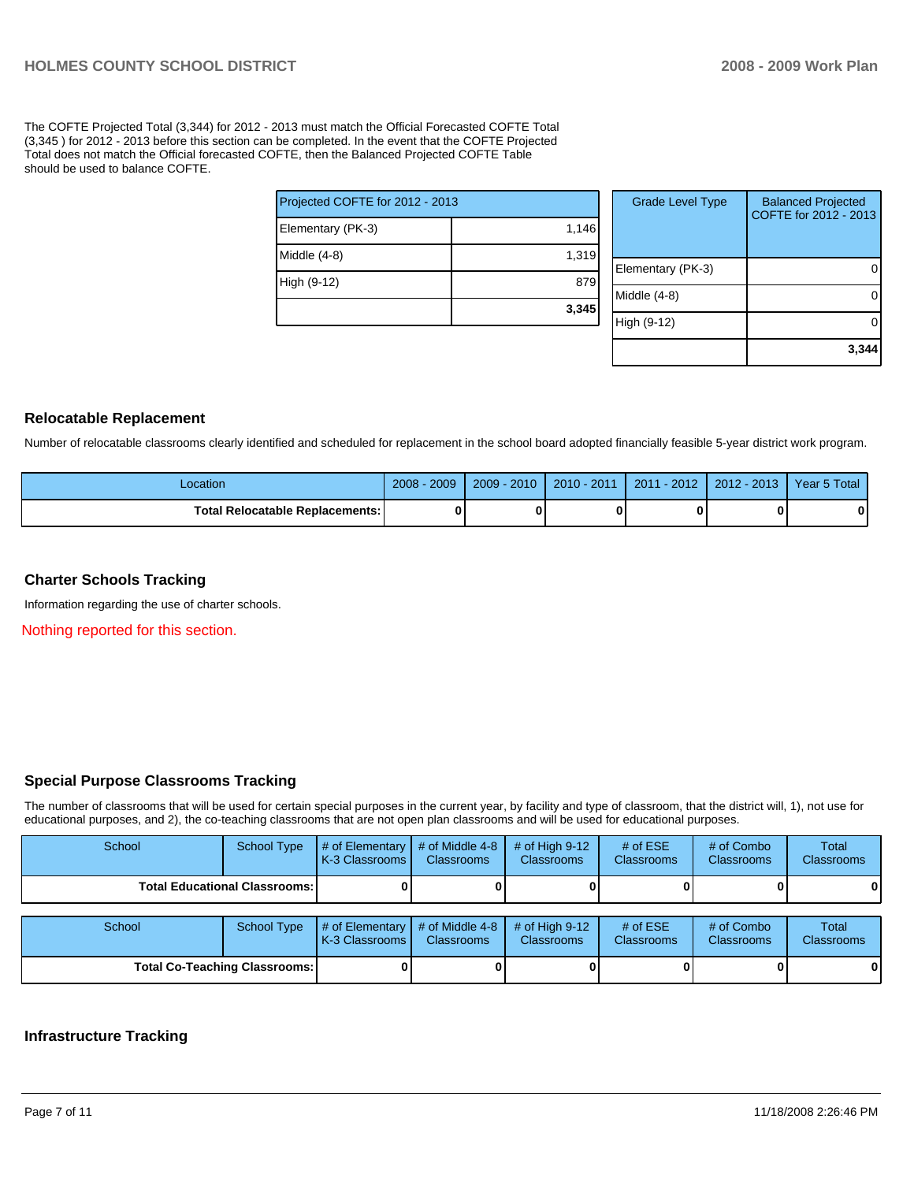The COFTE Projected Total (3,344) for 2012 - 2013 must match the Official Forecasted COFTE Total (3,345 ) for 2012 - 2013 before this section can be completed. In the event that the COFTE Projected Total does not match the Official forecasted COFTE, then the Balanced Projected COFTE Table should be used to balance COFTE.

| Projected COFTE for 2012 - 2013 |       |  |  |  |  |
|---------------------------------|-------|--|--|--|--|
| Elementary (PK-3)               | 1,146 |  |  |  |  |
| Middle (4-8)                    | 1,319 |  |  |  |  |
| High (9-12)                     | 879   |  |  |  |  |
|                                 | 3,345 |  |  |  |  |

| <b>Grade Level Type</b> | <b>Balanced Projected</b><br>COFTE for 2012 - 2013 |
|-------------------------|----------------------------------------------------|
| Elementary (PK-3)       |                                                    |
| Middle (4-8)            |                                                    |
| High (9-12)             |                                                    |
|                         | 3.3                                                |

#### **Relocatable Replacement**

Number of relocatable classrooms clearly identified and scheduled for replacement in the school board adopted financially feasible 5-year district work program.

| Location                               | 2009<br>2008 | $-2010$<br>$2009 -$ | $2010 - 2011$ | $-2012$<br>2011 | 2012 - 2013 | Year 5 Total |
|----------------------------------------|--------------|---------------------|---------------|-----------------|-------------|--------------|
| <b>Total Relocatable Replacements:</b> |              |                     |               |                 |             |              |

#### **Charter Schools Tracking**

Information regarding the use of charter schools.

Nothing reported for this section.

#### **Special Purpose Classrooms Tracking**

The number of classrooms that will be used for certain special purposes in the current year, by facility and type of classroom, that the district will, 1), not use for educational purposes, and 2), the co-teaching classrooms that are not open plan classrooms and will be used for educational purposes.

| School                               | <b>School Type</b>                   | # of Elementary<br>K-3 Classrooms | # of Middle 4-8<br><b>Classrooms</b> | # of High $9-12$<br><b>Classrooms</b> | # of $ESE$<br><b>Classrooms</b> | # of Combo<br><b>Classrooms</b> | Total<br>Classrooms |
|--------------------------------------|--------------------------------------|-----------------------------------|--------------------------------------|---------------------------------------|---------------------------------|---------------------------------|---------------------|
|                                      | <b>Total Educational Classrooms:</b> |                                   |                                      |                                       |                                 |                                 | 0                   |
| School                               | <b>School Type</b>                   | # of Elementary<br>K-3 Classrooms | # of Middle 4-8<br>Classrooms        | # of High $9-12$<br>Classrooms        | # of $ESE$<br><b>Classrooms</b> | # of Combo<br><b>Classrooms</b> | Total<br>Classrooms |
| <b>Total Co-Teaching Classrooms:</b> |                                      |                                   |                                      |                                       |                                 |                                 | 0                   |

#### **Infrastructure Tracking**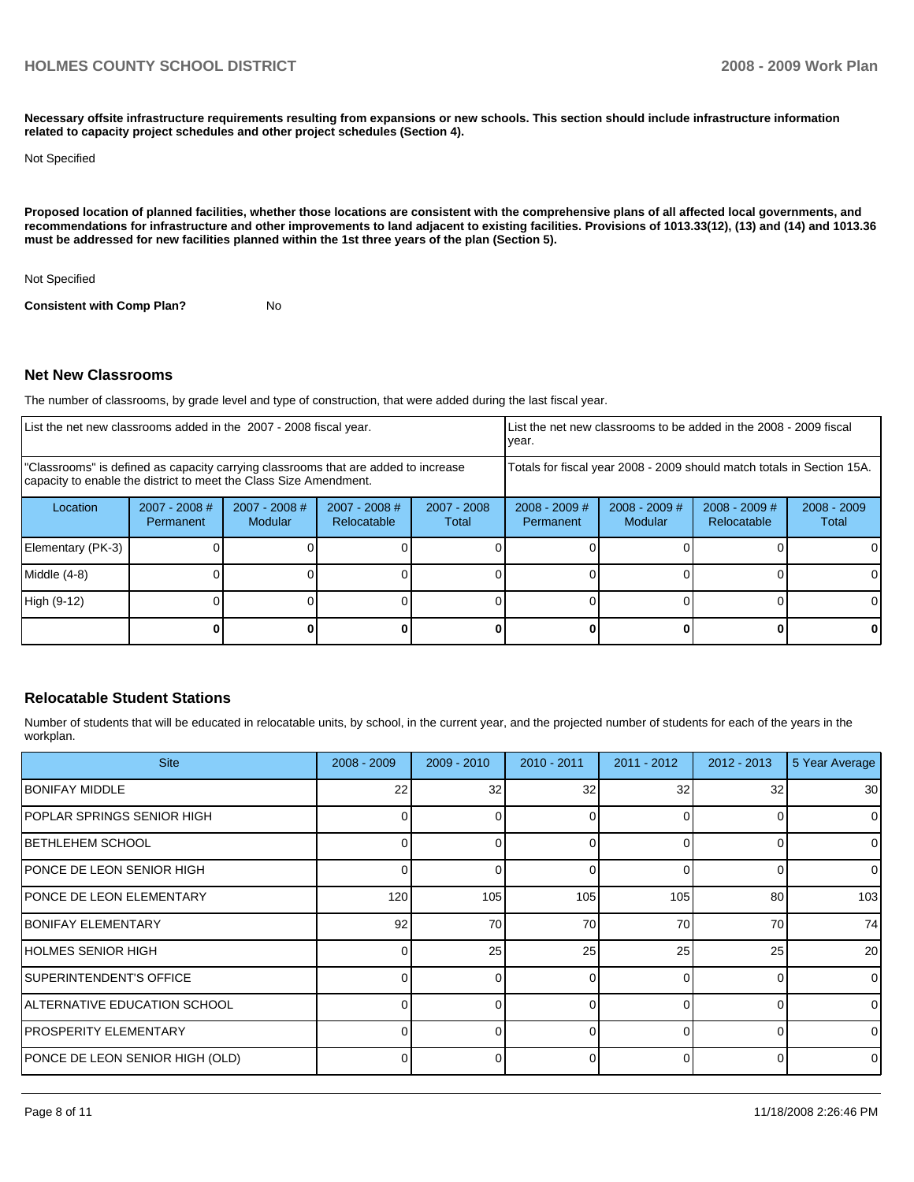**Necessary offsite infrastructure requirements resulting from expansions or new schools. This section should include infrastructure information related to capacity project schedules and other project schedules (Section 4).** 

Not Specified

**Proposed location of planned facilities, whether those locations are consistent with the comprehensive plans of all affected local governments, and recommendations for infrastructure and other improvements to land adjacent to existing facilities. Provisions of 1013.33(12), (13) and (14) and 1013.36 must be addressed for new facilities planned within the 1st three years of the plan (Section 5).** 

Not Specified

**Consistent with Comp Plan?** No

#### **Net New Classrooms**

The number of classrooms, by grade level and type of construction, that were added during the last fiscal year.

| List the net new classrooms added in the 2007 - 2008 fiscal year.                                                                                       |                            |                                   |                                | year.                  |                              | List the net new classrooms to be added in the 2008 - 2009 fiscal      |                                |                        |
|---------------------------------------------------------------------------------------------------------------------------------------------------------|----------------------------|-----------------------------------|--------------------------------|------------------------|------------------------------|------------------------------------------------------------------------|--------------------------------|------------------------|
| "Classrooms" is defined as capacity carrying classrooms that are added to increase<br>capacity to enable the district to meet the Class Size Amendment. |                            |                                   |                                |                        |                              | Totals for fiscal year 2008 - 2009 should match totals in Section 15A. |                                |                        |
| Location                                                                                                                                                | 2007 - 2008 #<br>Permanent | $2007 - 2008$ #<br><b>Modular</b> | $2007 - 2008$ #<br>Relocatable | $2007 - 2008$<br>Total | $2008 - 2009$ #<br>Permanent | $2008 - 2009$ #<br>Modular                                             | $2008 - 2009$ #<br>Relocatable | $2008 - 2009$<br>Total |
| Elementary (PK-3)                                                                                                                                       |                            |                                   |                                |                        |                              |                                                                        |                                |                        |
| Middle (4-8)                                                                                                                                            |                            |                                   |                                |                        |                              |                                                                        |                                |                        |
| High (9-12)                                                                                                                                             |                            |                                   |                                |                        |                              |                                                                        |                                |                        |
|                                                                                                                                                         |                            |                                   |                                |                        |                              |                                                                        |                                | 0                      |

#### **Relocatable Student Stations**

Number of students that will be educated in relocatable units, by school, in the current year, and the projected number of students for each of the years in the workplan.

| <b>Site</b>                       | $2008 - 2009$ | $2009 - 2010$ | $2010 - 2011$ | $2011 - 2012$ | $2012 - 2013$ | 5 Year Average  |
|-----------------------------------|---------------|---------------|---------------|---------------|---------------|-----------------|
| <b>IBONIFAY MIDDLE</b>            | 22            | 32            | 32            | 32            | 32            | 30 <sub>l</sub> |
| IPOPLAR SPRINGS SENIOR HIGH       |               |               |               | $\Omega$      |               | $\Omega$        |
| <b>IBETHLEHEM SCHOOL</b>          |               |               |               | $\Omega$      |               | 0               |
| <b>IPONCE DE LEON SENIOR HIGH</b> |               | 0             | 0             | $\Omega$      |               | $\overline{0}$  |
| <b>PONCE DE LEON ELEMENTARY</b>   | 120           | 105           | 105           | 105           | 80            | 103             |
| <b>IBONIFAY ELEMENTARY</b>        | 92            | 70            | 70            | 70            | 70            | 74              |
| <b>IHOLMES SENIOR HIGH</b>        |               | 25            | 25            | 25            | 25            | 20 <sup>1</sup> |
| <b>SUPERINTENDENT'S OFFICE</b>    |               | U             |               | $\Omega$      |               | $\Omega$        |
| IALTERNATIVE EDUCATION SCHOOL     |               | $\Omega$      | O             | $\Omega$      |               | $\Omega$        |
| <b>PROSPERITY ELEMENTARY</b>      |               | <sup>n</sup>  | O             | $\Omega$      | $\Omega$      | $\Omega$        |
| PONCE DE LEON SENIOR HIGH (OLD)   |               | ∩             |               | $\Omega$      |               | $\Omega$        |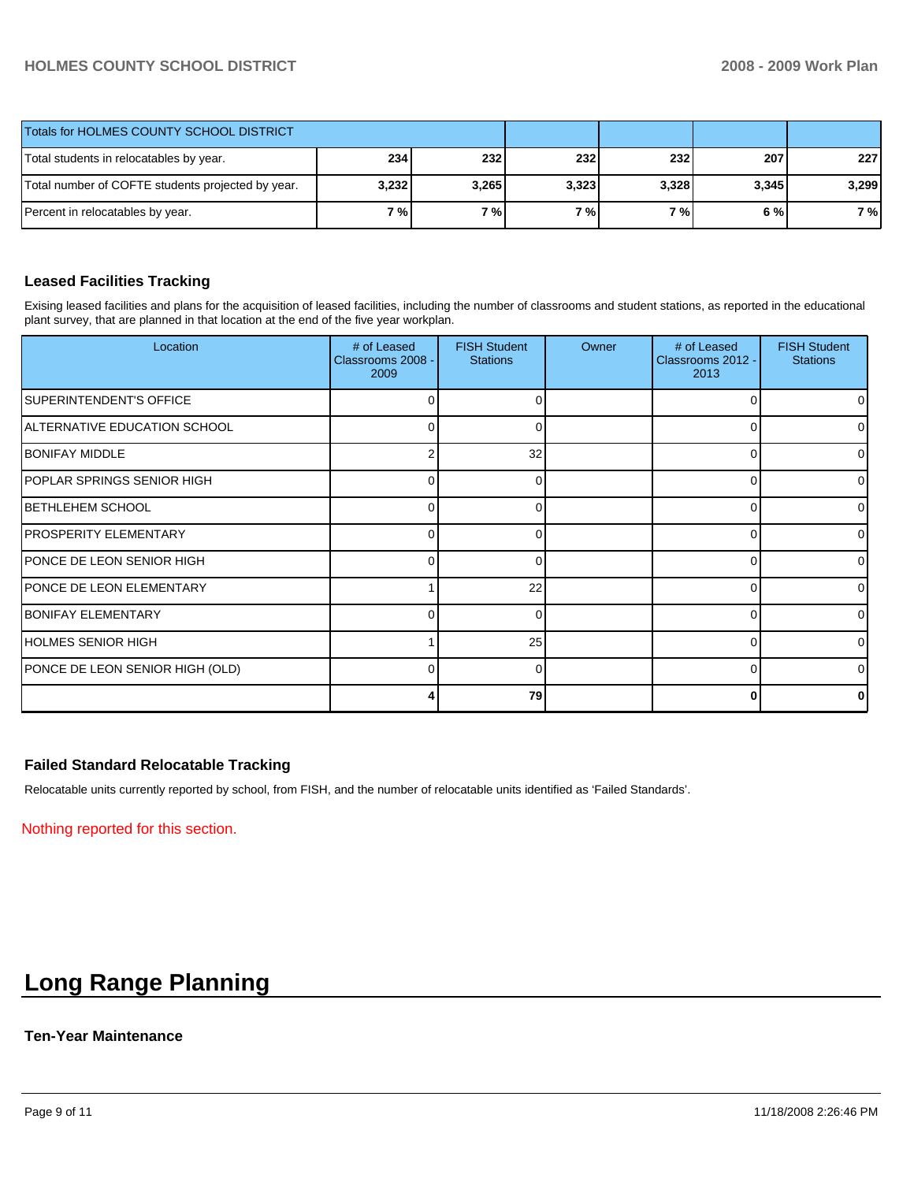### **HOLMES COUNTY SCHOOL DISTRICT 2008 - 2009 Work Plan**

| Totals for HOLMES COUNTY SCHOOL DISTRICT          |            |           |       |       |       |       |
|---------------------------------------------------|------------|-----------|-------|-------|-------|-------|
| Total students in relocatables by year.           | <b>234</b> | 232       | 232   | 232   | 207   | 227   |
| Total number of COFTE students projected by year. | 3,232      | 3,265     | 3,323 | 3,328 | 3,345 | 3.299 |
| Percent in relocatables by year.                  | 7%         | <b>7%</b> | 7%1   | 7 % I | 6 % l | 7 %   |

#### **Leased Facilities Tracking**

Exising leased facilities and plans for the acquisition of leased facilities, including the number of classrooms and student stations, as reported in the educational plant survey, that are planned in that location at the end of the five year workplan.

| Location                        | # of Leased<br>Classrooms 2008 -<br>2009 | <b>FISH Student</b><br><b>Stations</b> | Owner | # of Leased<br>Classrooms 2012 -<br>2013 | <b>FISH Student</b><br><b>Stations</b> |
|---------------------------------|------------------------------------------|----------------------------------------|-------|------------------------------------------|----------------------------------------|
| SUPERINTENDENT'S OFFICE         | $\Omega$                                 | 0                                      |       | 0                                        | 0                                      |
| ALTERNATIVE EDUCATION SCHOOL    | 0                                        | 0                                      |       | 0                                        |                                        |
| <b>BONIFAY MIDDLE</b>           | 2                                        | 32                                     |       | 0                                        |                                        |
| IPOPLAR SPRINGS SENIOR HIGH     | $\Omega$                                 | $\Omega$                               |       | 0                                        | 0                                      |
| IBETHLEHEM SCHOOL               | 0                                        | 0                                      |       | 0                                        | 0                                      |
| <b>PROSPERITY ELEMENTARY</b>    | 0                                        | ∩                                      |       | 0                                        |                                        |
| PONCE DE LEON SENIOR HIGH       | $\Omega$                                 | $\Omega$                               |       | 0                                        | <sup>0</sup>                           |
| PONCE DE LEON ELEMENTARY        |                                          | 22                                     |       | 0                                        | <sup>0</sup>                           |
| <b>BONIFAY ELEMENTARY</b>       | 0                                        | ∩                                      |       | $\Omega$                                 |                                        |
| HOLMES SENIOR HIGH              |                                          | 25                                     |       | $\Omega$                                 | ∩                                      |
| PONCE DE LEON SENIOR HIGH (OLD) | 0                                        | 0                                      |       | 0                                        | $\Omega$                               |
|                                 |                                          | 79                                     |       | 0                                        |                                        |

#### **Failed Standard Relocatable Tracking**

Relocatable units currently reported by school, from FISH, and the number of relocatable units identified as 'Failed Standards'.

Nothing reported for this section.

# **Long Range Planning**

#### **Ten-Year Maintenance**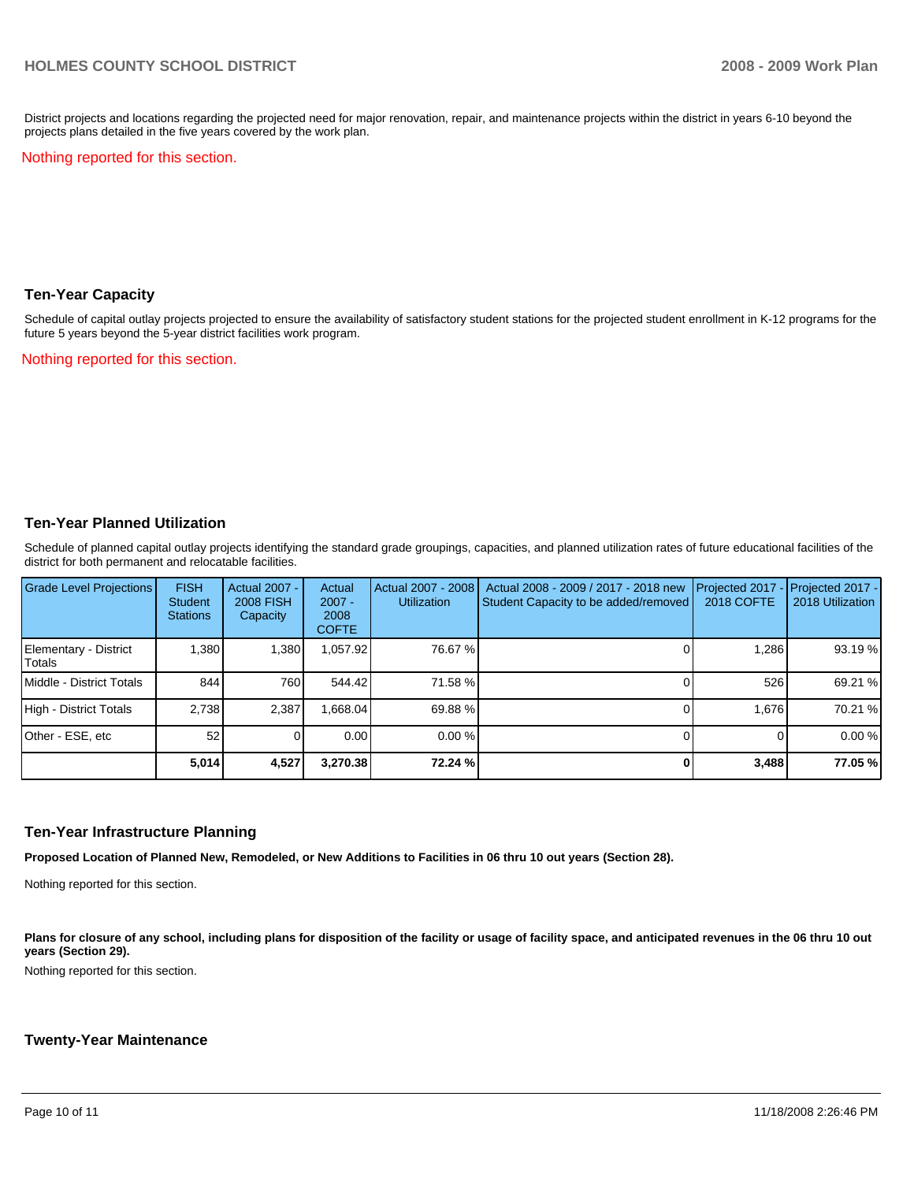District projects and locations regarding the projected need for major renovation, repair, and maintenance projects within the district in years 6-10 beyond the projects plans detailed in the five years covered by the work plan.

Nothing reported for this section.

#### **Ten-Year Capacity**

Schedule of capital outlay projects projected to ensure the availability of satisfactory student stations for the projected student enrollment in K-12 programs for the future 5 years beyond the 5-year district facilities work program.

Nothing reported for this section.

#### **Ten-Year Planned Utilization**

Schedule of planned capital outlay projects identifying the standard grade groupings, capacities, and planned utilization rates of future educational facilities of the district for both permanent and relocatable facilities.

| Grade Level Projections         | <b>FISH</b><br><b>Student</b><br><b>Stations</b> | Actual 2007 -<br><b>2008 FISH</b><br>Capacity | Actual<br>$2007 -$<br>2008<br><b>COFTE</b> | Actual 2007 - 2008<br><b>Utilization</b> | Actual 2008 - 2009 / 2017 - 2018 new<br>Student Capacity to be added/removed | 2018 COFTE | Projected 2017 - Projected 2017 -<br>2018 Utilization |
|---------------------------------|--------------------------------------------------|-----------------------------------------------|--------------------------------------------|------------------------------------------|------------------------------------------------------------------------------|------------|-------------------------------------------------------|
| Elementary - District<br>Totals | 1,380                                            | 1,380                                         | 1,057.92                                   | 76.67 %                                  |                                                                              | 1,286      | 93.19 %                                               |
| Middle - District Totals        | 844                                              | 760                                           | 544.42                                     | 71.58 %                                  |                                                                              | 526        | 69.21 %                                               |
| High - District Totals          | 2,738                                            | 2,387                                         | ,668.04                                    | 69.88 %                                  |                                                                              | 1.676      | 70.21 %                                               |
| Other - ESE, etc                | 52                                               |                                               | 0.00                                       | 0.00%                                    |                                                                              |            | 0.00%                                                 |
|                                 | 5,014                                            | 4,527                                         | 3,270.38                                   | 72.24 %                                  |                                                                              | 3,488      | 77.05 %                                               |

### **Ten-Year Infrastructure Planning**

**Proposed Location of Planned New, Remodeled, or New Additions to Facilities in 06 thru 10 out years (Section 28).** 

Nothing reported for this section.

Plans for closure of any school, including plans for disposition of the facility or usage of facility space, and anticipated revenues in the 06 thru 10 out **years (Section 29).** 

Nothing reported for this section.

#### **Twenty-Year Maintenance**